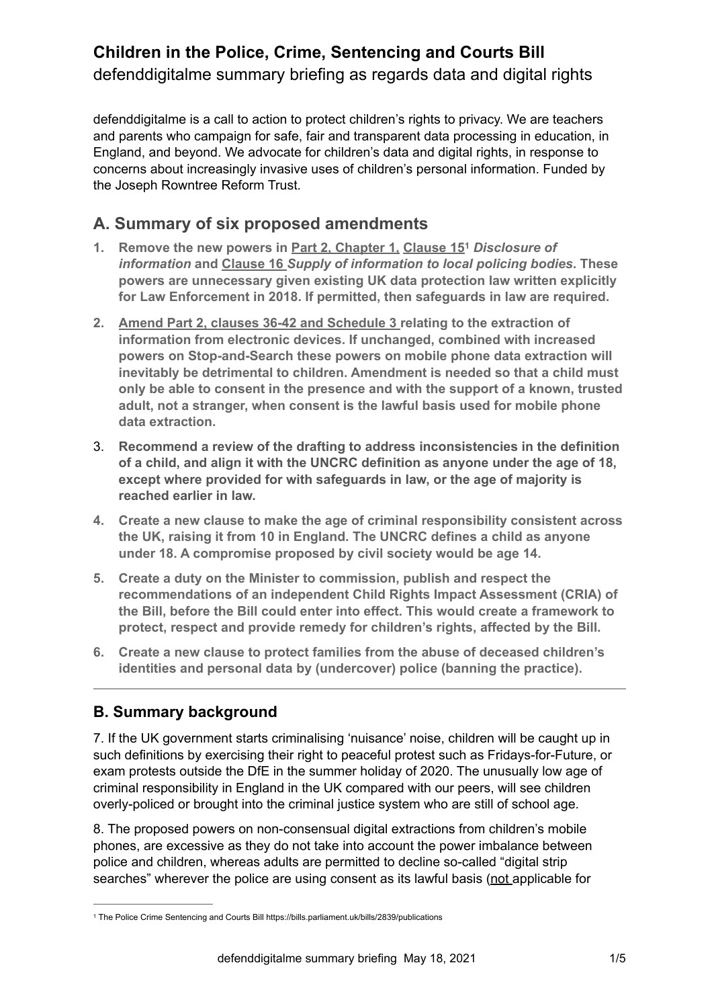# **Children in the Police, Crime, Sentencing and Courts Bill** defenddigitalme summary briefing as regards data and digital rights

defenddigitalme is a call to action to protect children's rights to privacy. We are teachers and parents who campaign for safe, fair and transparent data processing in education, in England, and beyond. We advocate for children's data and digital rights, in response to concerns about increasingly invasive uses of children's personal information. Funded by the Joseph Rowntree Reform Trust.

## **A. Summary of six proposed amendments**

- <span id="page-0-1"></span>**1. Remove the new powers in Part 2, Chapter 1, Clause 15** *Disclosure of* **[1](#page-0-0)** *information* **and Clause 16** *Supply of information to local policing bodies***. These powers are unnecessary given existing UK data protection law written explicitly for Law Enforcement in 2018. If permitted, then safeguards in law are required.**
- **2. Amend Part 2, clauses 36-42 and Schedule 3 relating to the extraction of information from electronic devices. If unchanged, combined with increased powers on Stop-and-Search these powers on mobile phone data extraction will inevitably be detrimental to children. Amendment is needed so that a child must only be able to consent in the presence and with the support of a known, trusted adult, not a stranger, when consent is the lawful basis used for mobile phone data extraction.**
- 3. **Recommend a review of the drafting to address inconsistencies in the definition of a child, and align it with the UNCRC definition as anyone under the age of 18, except where provided for with safeguards in law, or the age of majority is reached earlier in law.**
- **4. Create a new clause to make the age of criminal responsibility consistent across the UK, raising it from 10 in England. The UNCRC defines a child as anyone under 18. A compromise proposed by civil society would be age 14.**
- **5. Create a duty on the Minister to commission, publish and respect the recommendations of an independent Child Rights Impact Assessment (CRIA) of the Bill, before the Bill could enter into effect. This would create a framework to protect, respect and provide remedy for children's rights, affected by the Bill.**
- **6. Create a new clause to protect families from the abuse of deceased children's identities and personal data by (undercover) police (banning the practice).**

### **B. Summary background**

7. If the UK government starts criminalising 'nuisance' noise, children will be caught up in such definitions by exercising their right to peaceful protest such as Fridays-for-Future, or exam protests outside the DfE in the summer holiday of 2020. The unusually low age of criminal responsibility in England in the UK compared with our peers, will see children overly-policed or brought into the criminal justice system who are still of school age.

8. The proposed powers on non-consensual digital extractions from children's mobile phones, are excessive as they do not take into account the power imbalance between police and children, whereas adults are permitted to decline so-called "digital strip searches" wherever the police are using consent as its lawful basis (not applicable for

<span id="page-0-0"></span>**[<sup>1</sup>](#page-0-1)** The Police Crime Sentencing and Courts Bill<https://bills.parliament.uk/bills/2839/publications>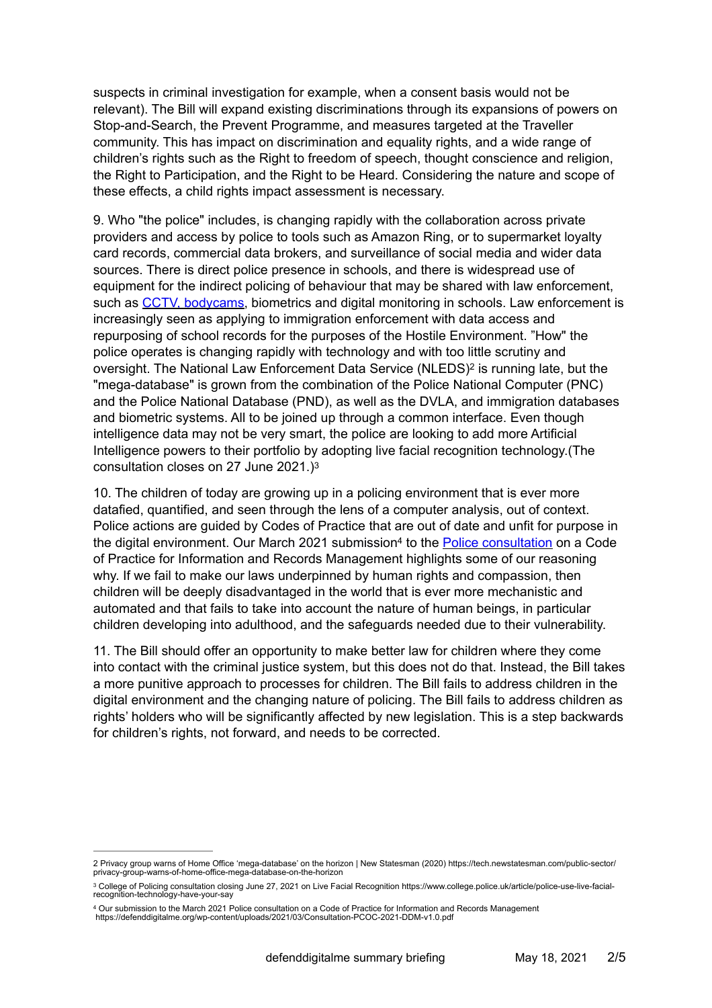suspects in criminal investigation for example, when a consent basis would not be relevant). The Bill will expand existing discriminations through its expansions of powers on Stop-and-Search, the Prevent Programme, and measures targeted at the Traveller community. This has impact on discrimination and equality rights, and a wide range of children's rights such as the Right to freedom of speech, thought conscience and religion, the Right to Participation, and the Right to be Heard. Considering the nature and scope of these effects, a child rights impact assessment is necessary.

9. Who "the police" includes, is changing rapidly with the collaboration across private providers and access by police to tools such as Amazon Ring, or to supermarket loyalty card records, commercial data brokers, and surveillance of social media and wider data sources. There is direct police presence in schools, and there is widespread use of equipment for the indirect policing of behaviour that may be shared with law enforcement, such as [CCTV, bodycams](https://defenddigitalme.org/2019/06/national-surveillance-camera-day-2019/), biometrics and digital monitoring in schools. Law enforcement is increasingly seen as applying to immigration enforcement with data access and repurposing of school records for the purposes of the Hostile Environment. "How" the police operates is changing rapidly with technology and with too little scrutiny and oversight.The National Law Enforcement Data Service (NLEDS)<sup>[2](#page-1-0)</sup> is running late, but the "mega-database" is grown from the combination of the Police National Computer (PNC) and the Police National Database (PND), as well as the DVLA, and immigration databases and biometric systems. All to be joined up through a common interface. Even though intelligence data may not be very smart, the police are looking to add more Artificial Intelligence powers to their portfolio by adopting live facial recognition technology.(The consultation closes on 27 June 2021.)[3](#page-1-1)

<span id="page-1-5"></span><span id="page-1-4"></span><span id="page-1-3"></span>10. The children of today are growing up in a policing environment that is ever more datafied, quantified, and seen through the lens of a computer analysis, out of context. Police actions are guided by Codes of Practice that are out of date and unfit for purpose in the digital e[n](#page-1-2)vironment. Our March 2021 submission<sup>4</sup> to the [Police consultation](https://www.college.police.uk/article/information-records-management-consultation) on a Code of Practice for Information and Records Management highlights some of our reasoning why. If we fail to make our laws underpinned by human rights and compassion, then children will be deeply disadvantaged in the world that is ever more mechanistic and automated and that fails to take into account the nature of human beings, in particular children developing into adulthood, and the safeguards needed due to their vulnerability.

11. The Bill should offer an opportunity to make better law for children where they come into contact with the criminal justice system, but this does not do that. Instead, the Bill takes a more punitive approach to processes for children. The Bill fails to address children in the digital environment and the changing nature of policing. The Bill fails to address children as rights' holders who will be significantly affected by new legislation. This is a step backwards for children's rights, not forward, and needs to be corrected.

<span id="page-1-0"></span>[<sup>2</sup>](#page-1-3) Privacy group warns of Home Office 'mega-database' on the horizon | New Statesman (2020) [https://tech.newstatesman.com/public-sector/](https://tech.newstatesman.com/public-sector/privacy-group-warns-of-home-office-mega-database-on-the-horizon) [privacy-group-warns-of-home-office-mega-database-on-the-horizon](https://tech.newstatesman.com/public-sector/privacy-group-warns-of-home-office-mega-database-on-the-horizon)

<span id="page-1-1"></span><sup>&</sup>lt;sup>[3](#page-1-4)</sup> College of Policing consultation closing June 27, 2021 on Live Facial Recognition https://www.college.police.uk/article/police-use-live-facialrecognition-technology-have-your-say

<span id="page-1-2"></span><sup>4</sup> Our submission to the March 2021 [Police consultation](https://www.college.police.uk/article/information-records-management-consultation) on a Code of Practice for Information and Records Management<br>https://defenddigitalme.org/wp-content/uploads/2021/03/Consultation-PCOC-2021-DDM-v1.0.pdf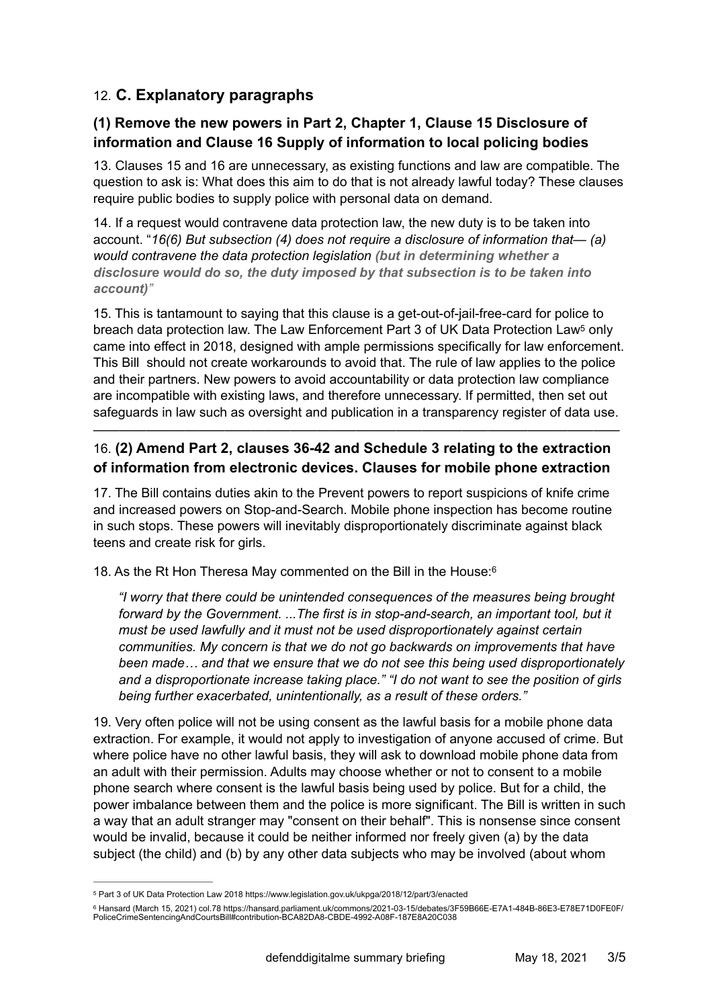### 12. **C. Explanatory paragraphs**

#### **(1) Remove the new powers in Part 2, Chapter 1, Clause 15 Disclosure of information and Clause 16 Supply of information to local policing bodies**

13. Clauses 15 and 16 are unnecessary, as existing functions and law are compatible. The question to ask is: What does this aim to do that is not already lawful today? These clauses require public bodies to supply police with personal data on demand.

14. If a request would contravene data protection law, the new duty is to be taken into account. "*16(6) But subsection (4) does not require a disclosure of information that— (a) would contravene the data protection legislation (but in determining whether a disclosure would do so, the duty imposed by that subsection is to be taken into account)"*

<span id="page-2-2"></span>15. This is tantamount to saying that this clause is a get-out-of-jail-free-card for police to breach data protection law. The Law Enforcement Part 3 of UK Data Protection Law<sup>[5](#page-2-0)</sup> only came into effect in 2018, designed with ample permissions specifically for law enforcement. This Bill should not create workarounds to avoid that. The rule of law applies to the police and their partners. New powers to avoid accountability or data protection law compliance are incompatible with existing laws, and therefore unnecessary. If permitted, then set out safeguards in law such as oversight and publication in a transparency register of data use.

#### 16. **(2) Amend Part 2, clauses 36-42 and Schedule 3 relating to the extraction of information from electronic devices. Clauses for mobile phone extraction**

————————————————————————————————————————

17. The Bill contains duties akin to the Prevent powers to report suspicions of knife crime and increased powers on Stop-and-Search. Mobile phone inspection has become routine in such stops. These powers will inevitably disproportionately discriminate against black teens and create risk for girls.

18. As the Rt Hon Theresa May commented on the Bill in the House:[6](#page-2-1)

<span id="page-2-3"></span>*"I worry that there could be unintended consequences of the measures being brought*  forward by the Government. ...The first is in stop-and-search, an important tool, but it *must be used lawfully and it must not be used disproportionately against certain communities. My concern is that we do not go backwards on improvements that have been made… and that we ensure that we do not see this being used disproportionately and a disproportionate increase taking place." "I do not want to see the position of girls being further exacerbated, unintentionally, as a result of these orders."*

19. Very often police will not be using consent as the lawful basis for a mobile phone data extraction. For example, it would not apply to investigation of anyone accused of crime. But where police have no other lawful basis, they will ask to download mobile phone data from an adult with their permission. Adults may choose whether or not to consent to a mobile phone search where consent is the lawful basis being used by police. But for a child, the power imbalance between them and the police is more significant. The Bill is written in such a way that an adult stranger may "consent on their behalf". This is nonsense since consent would be invalid, because it could be neither informed nor freely given (a) by the data subject (the child) and (b) by any other data subjects who may be involved (about whom

<span id="page-2-0"></span>[<sup>5</sup>](#page-2-2) Part 3 of UK Data Protection Law 2018 https://www.legislation.gov.uk/ukpga/2018/12/part/3/enacted

<span id="page-2-1"></span><sup>©</sup> Hansard (March 15, 2021) col.78 https://hansard.parliament.uk/commons/2021-03-15/debates/3F59B[6](#page-2-3)6E-E7A1-484B-86E3-E78E71D0FE0F/<br>PoliceCrimeSentencingAndCourtsBill#contribution-BCA82DA8-CBDE-4992-A08F-187E8A20C038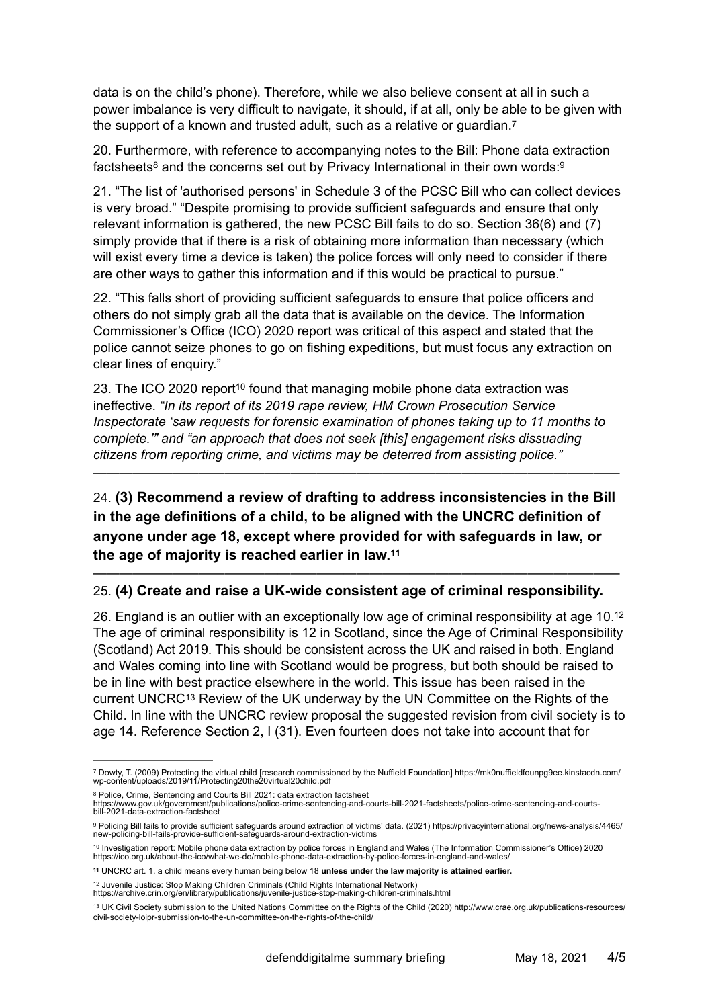data is on the child's phone). Therefore, while we also believe consent at all in such a power imbalance is very difficult to navigate, it should, if at all, only be able to be given with the support of a known and trusted adult, such as a relative or guardian.[7](#page-3-0)

<span id="page-3-9"></span><span id="page-3-8"></span><span id="page-3-7"></span>20. Furthermore, with reference to accompanying notes to the Bill: Phone data extraction fact[s](#page-3-1)heets<sup>8</sup> and the concerns set out by Privacy International in their own words:  $9$ 

21. "The list of 'authorised persons' in Schedule 3 of the PCSC Bill who can collect devices is very broad." "Despite promising to provide sufficient safeguards and ensure that only relevant information is gathered, the new PCSC Bill fails to do so. Section 36(6) and (7) simply provide that if there is a risk of obtaining more information than necessary (which will exist every time a device is taken) the police forces will only need to consider if there are other ways to gather this information and if this would be practical to pursue."

22. "This falls short of providing sufficient safeguards to ensure that police officers and others do not simply grab all the data that is available on the device. The Information Commissioner's Office (ICO) 2020 report was critical of this aspect and stated that the police cannot seize phones to go on fishing expeditions, but must focus any extraction on clear lines of enquiry."

<span id="page-3-10"></span>23. The ICO 2020 report<sup>[10](#page-3-3)</sup> found that managing mobile phone data extraction was ineffective. *"In its report of its 2019 rape review, HM Crown Prosecution Service Inspectorate 'saw requests for forensic examination of phones taking up to 11 months to complete.'" and "an approach that does not seek [this] engagement risks dissuading citizens from reporting crime, and victims may be deterred from assisting police."*

24. **(3) Recommend a review of drafting to address inconsistencies in the Bill in the age definitions of a child, to be aligned with the UNCRC definition of anyone under age 18, except where provided for with safeguards in law, or the age of majority is reached earlier in law[.11](#page-3-4)**

————————————————————————————————————————

#### <span id="page-3-11"></span>———————————————————————————————————————— 25. **(4) Create and raise a UK-wide consistent age of criminal responsibility.**

<span id="page-3-12"></span>26. England is an outlier with an exceptionally low age of criminal responsibility at age 10[.12](#page-3-5) The age of criminal responsibility is 12 in Scotland, since the Age of Criminal Responsibility (Scotland) Act 2019. This should be consistent across the UK and raised in both. England and Wales coming into line with Scotland would be progress, but both should be raised to be in line with best practice elsewhere in the world. This issue has been raised in the current UNCRC<sup>[13](#page-3-6)</sup> Review of the UK underway by the UN Committee on the Rights of the Child. In line with the UNCRC review proposal the suggested revision from civil society is to age 14. Reference Section 2, I (31). Even fourteen does not take into account that for

<span id="page-3-13"></span><span id="page-3-0"></span><sup>&</sup>lt;sup>[7](#page-3-7)</sup> Dowty, T. (2009) Protecting the virtual child [research commissioned by the Nuffield Foundation] https://mk0nuffieldfounpg9ee.kinstacdn.com/<br>wp-content/uploads/2019/11/Protecting20the20virtual20child.pdf

<span id="page-3-1"></span>[<sup>8</sup>](#page-3-8) Police, Crime, Sentencing and Courts Bill 2021: data extraction factsheet<br>[https://www.gov.uk/government/publications/police-crime-sentencing-and-courts-bill-2021-factsheets/police-crime-sentencing-and-courts](https://www.gov.uk/government/publications/police-crime-sentencing-and-courts-bill-2021-factsheets/police-crime-sentencing-and-courts-bill-2021-data-extraction-factsheet)[bill-2021-data-extraction-factsheet](https://www.gov.uk/government/publications/police-crime-sentencing-and-courts-bill-2021-factsheets/police-crime-sentencing-and-courts-bill-2021-data-extraction-factsheet)

<span id="page-3-2"></span><sup>9</sup> Policing Bill fails to provide sufficient safeguards around extraction of victims' data. (2021) [https://privacyinternational.org/news-analysis/4465/](https://privacyinternational.org/news-analysis/4465/new-policing-bill-fails-provide-sufficient-safeguards-around-extraction-victims) [new-policing-bill-fails-provide-sufficient-safeguards-around-extraction-victims](https://privacyinternational.org/news-analysis/4465/new-policing-bill-fails-provide-sufficient-safeguards-around-extraction-victims)

<span id="page-3-3"></span>[<sup>10</sup>](#page-3-10) Investigation report: Mobile phone data extraction by police forces in England and Wales (The Information Commissioner's Office) 2020<br>https://ico.org.uk/about-the-ico/what-we-do/mobile-phone-data-extraction-by-police-fo

<span id="page-3-4"></span>UNCRC art. 1. a child means every human being below 18 **unless under the law majority is attained earlier. [11](#page-3-11)**

<span id="page-3-5"></span><sup>&</sup>lt;sup>[12](#page-3-12)</sup> Juvenile Justice: Stop Making Children Criminals (Child Rights International Network)

<https://archive.crin.org/en/library/publications/juvenile-justice-stop-making-children-criminals.html>

<span id="page-3-6"></span><sup>&</sup>lt;sup>[13](#page-3-13)</sup> UK Civil Society submission to the United Nations Committee on the Rights of the Child (2020) http://www.crae.org.uk/publications-resources/ civil-society-loipr-submission-to-the-un-committee-on-the-rights-of-the-child/